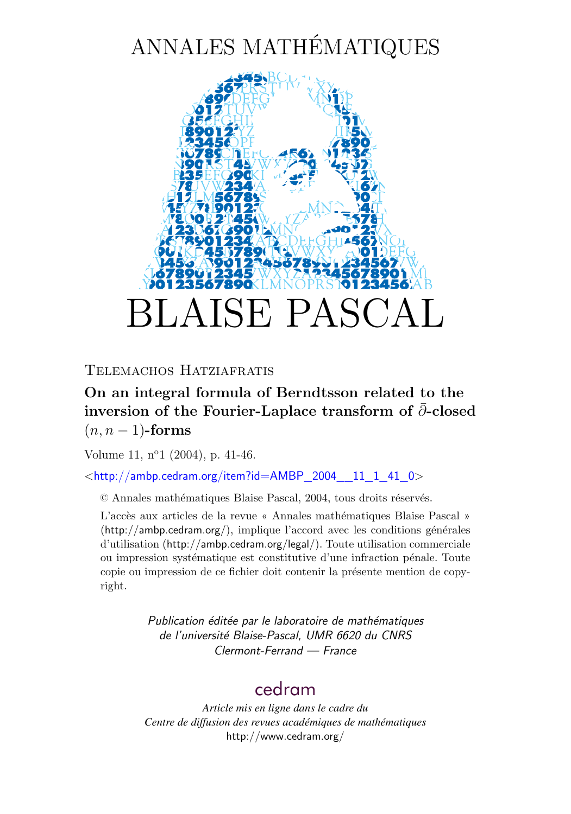# ANNALES MATHÉMATIQUES



TELEMACHOS HATZIAFRATIS

### **On an integral formula of Berndtsson related to the** inversion of the Fourier-Laplace transform of ∂-closed  $(n, n - 1)$ -forms

Volume 11,  $n^{\circ}1$  (2004), p. 41[-46.](#page-6-0)

 $\lt$ http://ambp.cedram.org/item?id=AMBP\_2004\_11\_1\_41\_0>

© Annales mathématiques Blaise Pascal, 2004, tous droits réservés.

L'accès aux articles de la revue « Annales mathématiques Blaise Pascal » (<http://ambp.cedram.org/>), implique l'accord avec les conditions générales d'utilisation (<http://ambp.cedram.org/legal/>). Toute utilisation commerciale ou impression systématique est constitutive d'une infraction pénale. Toute copie ou impression de ce fichier doit contenir la présente mention de copyright.

> *Publication éditée par le laboratoire de mathématiques de l'université Blaise-Pascal, UMR 6620 du CNRS Clermont-Ferrand — France*

### [cedram](http://www.cedram.org/)

*Article mis en ligne dans le cadre du Centre de diffusion des revues académiques de mathématiques* <http://www.cedram.org/>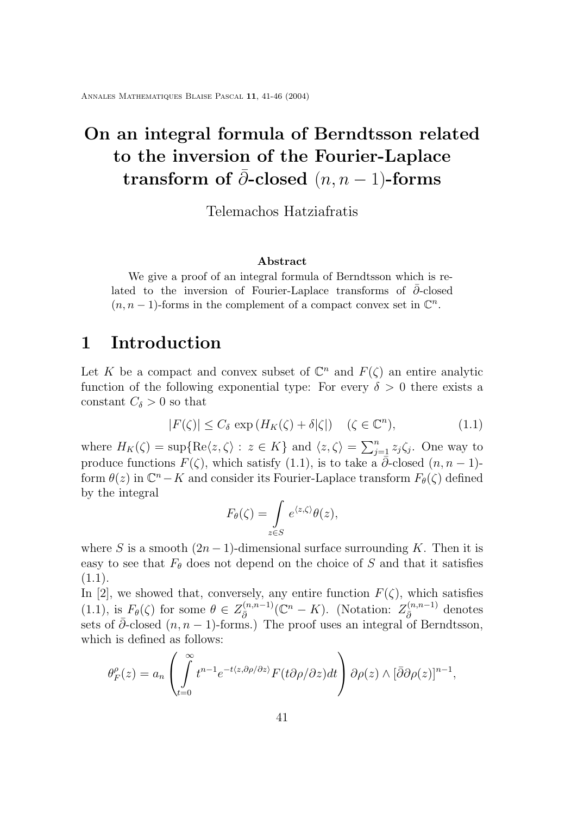<span id="page-1-0"></span>Annales Mathematiques Blaise Pascal **11**, 41[-46](#page-6-0) (2004)

## **On an integral formula of Berndtsson related to the inversion of the Fourier-Laplace transform of**  $\partial$ -closed  $(n, n-1)$ -forms

Telemachos Hatziafratis

#### **Abstract**

We give a proof of an integral formula of Berndtsson which is related to the inversion of Fourier-Laplace transforms of  $\partial$ -closed  $(n, n-1)$ -forms in the complement of a compact convex set in  $\mathbb{C}^n$ .

### **1 Introduction**

Let K be a compact and convex subset of  $\mathbb{C}^n$  and  $F(\zeta)$  an entire analytic function of the following exponential type: For every  $\delta > 0$  there exists a constant  $C_{\delta} > 0$  so that

$$
|F(\zeta)| \le C_{\delta} \exp\left(H_K(\zeta) + \delta|\zeta|\right) \quad (\zeta \in \mathbb{C}^n),\tag{1.1}
$$

where  $H_K(\zeta) = \sup\{\text{Re}\langle z,\zeta\rangle : z \in K\}$  and  $\langle z,\zeta\rangle = \sum_{j=1}^n z_j \zeta_j$ . One way to produce functions  $F(\zeta)$ , which satisfy (1.1), is to take a  $\bar{\partial}$ -closed  $(n, n-1)$ form  $\theta(z)$  in  $\mathbb{C}^n - K$  and consider its Fourier-Laplace transform  $F_{\theta}(\zeta)$  defined by the integral

$$
F_{\theta}(\zeta) = \int_{z \in S} e^{\langle z, \zeta \rangle} \theta(z),
$$

where S is a smooth  $(2n - 1)$ -dimensional surface surrounding K. Then it is easy to see that  $F_{\theta}$  does not depend on the choice of S and that it satisfies (1.1).

In [\[2\]](#page-6-0), we showed that, conversely, any entire function  $F(\zeta)$ , which satisfies (1.1), is  $F_{\theta}(\zeta)$  for some  $\theta \in Z_{\bar{\partial}}^{(n,n-1)}(\mathbb{C}^n - K)$ . (Notation:  $Z_{\bar{\partial}}^{(n,n-1)}$  denotes sets of  $\partial$ -closed  $(n, n - 1)$ -forms.) The proof uses an integral of Berndtsson, which is defined as follows:

$$
\theta_F^{\rho}(z) = a_n \left( \int_{t=0}^{\infty} t^{n-1} e^{-t \langle z, \partial \rho / \partial z \rangle} F(t \partial \rho / \partial z) dt \right) \partial \rho(z) \wedge [\bar{\partial} \partial \rho(z)]^{n-1},
$$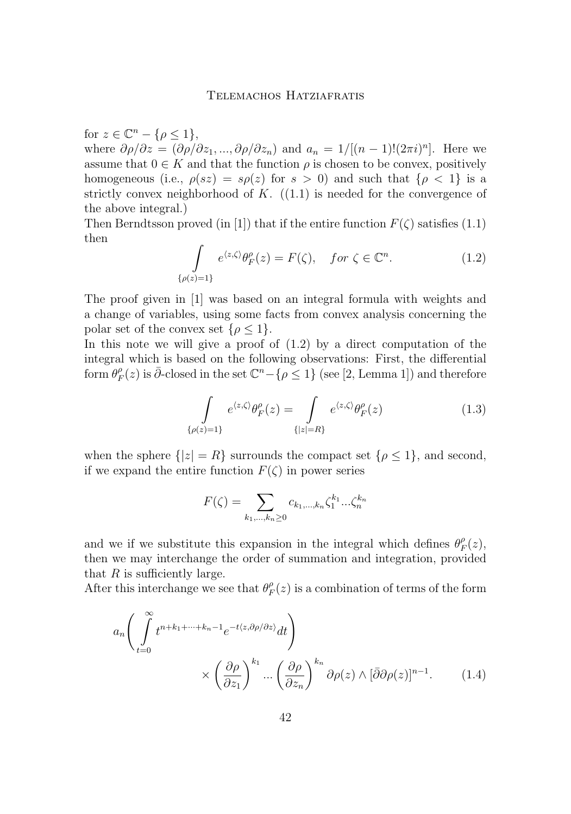#### Telemachos Hatziafratis

<span id="page-2-0"></span>for  $z \in \mathbb{C}^n - \{\rho \leq 1\},\$ 

where  $\partial \rho/\partial z = (\partial \rho/\partial z_1, ..., \partial \rho/\partial z_n)$  and  $a_n = 1/[(n-1)!(2\pi i)^n]$ . Here we assume that  $0 \in K$  and that the function  $\rho$  is chosen to be convex, positively homogeneous (i.e.,  $\rho(sz) = s\rho(z)$  for  $s > 0$ ) and such that  $\{\rho < 1\}$  is a strictly convex neighborhood of  $K$ .  $((1.1)$  $((1.1)$  is needed for the convergence of the above integral.)

Then Berndtsson proved (in [\[1\]](#page-6-0)) that if the entire function  $F(\zeta)$  satisfies [\(1.1\)](#page-1-0) then

$$
\int_{\{\rho(z)=1\}} e^{\langle z,\zeta\rangle} \theta_F^{\rho}(z) = F(\zeta), \quad \text{for } \zeta \in \mathbb{C}^n. \tag{1.2}
$$

The proof given in [\[1\]](#page-6-0) was based on an integral formula with weights and a change of variables, using some facts from convex analysis concerning the polar set of the convex set  $\{\rho \leq 1\}.$ 

In this note we will give a proof of  $(1.2)$  by a direct computation of the integral which is based on the following observations: First, the differential form  $\theta^{\rho}_F$  $F_F^{\rho}(z)$  is  $\bar{\partial}$ -closed in the set  $\mathbb{C}^n - \{\rho \leq 1\}$  (see [\[2,](#page-6-0) Lemma 1]) and therefore

$$
\int_{\{\rho(z)=1\}} e^{\langle z,\zeta\rangle} \theta_F^{\rho}(z) = \int_{\{|z|=R\}} e^{\langle z,\zeta\rangle} \theta_F^{\rho}(z)
$$
\n(1.3)

when the sphere  $\{|z|=R\}$  surrounds the compact set  $\{\rho \leq 1\}$ , and second, if we expand the entire function  $F(\zeta)$  in power series

$$
F(\zeta) = \sum_{k_1, ..., k_n \ge 0} c_{k_1, ..., k_n} \zeta_1^{k_1} ... \zeta_n^{k_n}
$$

and we if we substitute this expansion in the integral which defines  $\theta_{\mu}^{\rho}$  $P_F^{\rho}(z),$ then we may interchange the order of summation and integration, provided that  $R$  is sufficiently large.

After this interchange we see that  $\theta_{\mu}^{\rho}$  $P_F^{\rho}(z)$  is a combination of terms of the form

$$
a_n \left( \int_{t=0}^{\infty} t^{n+k_1+\dots+k_n-1} e^{-t \langle z, \partial \rho/\partial z \rangle} dt \right) \times \left( \frac{\partial \rho}{\partial z_1} \right)^{k_1} \dots \left( \frac{\partial \rho}{\partial z_n} \right)^{k_n} \partial \rho(z) \wedge [\bar{\partial} \partial \rho(z)]^{n-1}.
$$
 (1.4)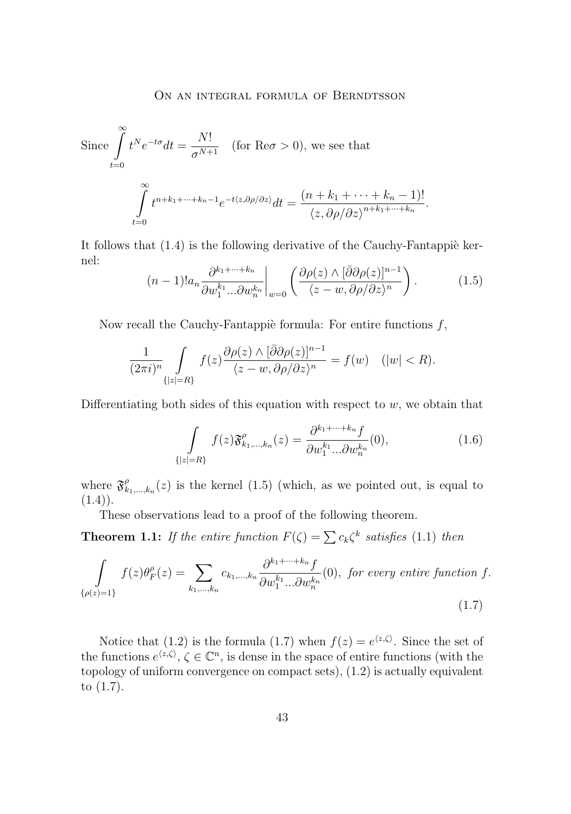<span id="page-3-0"></span>Since 
$$
\int_{t=0}^{\infty} t^N e^{-t\sigma} dt = \frac{N!}{\sigma^{N+1}}
$$
 (for  $\text{Re}\sigma > 0$ ), we see that  

$$
\int_{t=0}^{\infty} t^{n+k_1+\dots+k_n-1} e^{-t\langle z, \partial \rho/\partial z \rangle} dt = \frac{(n+k_1+\dots+k_n-1)!}{\langle z, \partial \rho/\partial z \rangle^{n+k_1+\dots+k_n}}
$$

It follows that [\(1.4\)](#page-2-0) is the following derivative of the Cauchy-Fantappiè kernel:

$$
(n-1)!a_n \frac{\partial^{k_1+\dots+k_n}}{\partial w_1^{k_1}...\partial w_n^{k_n}}\bigg|_{w=0} \left(\frac{\partial \rho(z) \wedge [\bar{\partial}\partial\rho(z)]^{n-1}}{\langle z-w, \partial\rho/\partial z\rangle^n}\right). \tag{1.5}
$$

.

Now recall the Cauchy-Fantappiè formula: For entire functions  $f$ ,

$$
\frac{1}{(2\pi i)^n} \int\limits_{\{|z|=R\}} f(z) \frac{\partial \rho(z) \wedge [\bar{\partial} \partial \rho(z)]^{n-1}}{\langle z-w, \partial \rho/\partial z \rangle^n} = f(w) \quad (|w| < R).
$$

Differentiating both sides of this equation with respect to  $w$ , we obtain that

$$
\int_{\{|z|=R\}} f(z)\mathfrak{F}^{\rho}_{k_1,\dots,k_n}(z) = \frac{\partial^{k_1+\dots+k_n} f}{\partial w_1^{k_1}...\partial w_n^{k_n}}(0),\tag{1.6}
$$

where  $\mathfrak{F}^{\rho}_k$  $_{k_1,...,k_n}^{\rho}(z)$  is the kernel (1.5) (which, as we pointed out, is equal to  $(1.4)$ .

These observations lead to a proof of the following theorem.

**Theorem 1.1:** If the entire function  $F(\zeta) = \sum c_k \zeta^k$  satisfies [\(1.1\)](#page-1-0) then

$$
\int_{\{\rho(z)=1\}} f(z)\theta_F^{\rho}(z) = \sum_{k_1,\dots,k_n} c_{k_1,\dots,k_n} \frac{\partial^{k_1+\dots+k_n} f}{\partial w_1^{k_1}...\partial w_n^{k_n}}(0), \text{ for every entire function } f.
$$
\n(1.7)

Notice that [\(1.2\)](#page-2-0) is the formula (1.7) when  $f(z) = e^{\langle z, \zeta \rangle}$ . Since the set of the functions  $e^{\langle z,\zeta\rangle}, \zeta \in \mathbb{C}^n$ , is dense in the space of entire functions (with the topology of uniform convergence on compact sets), [\(1.2\)](#page-2-0) is actually equivalent to (1.7).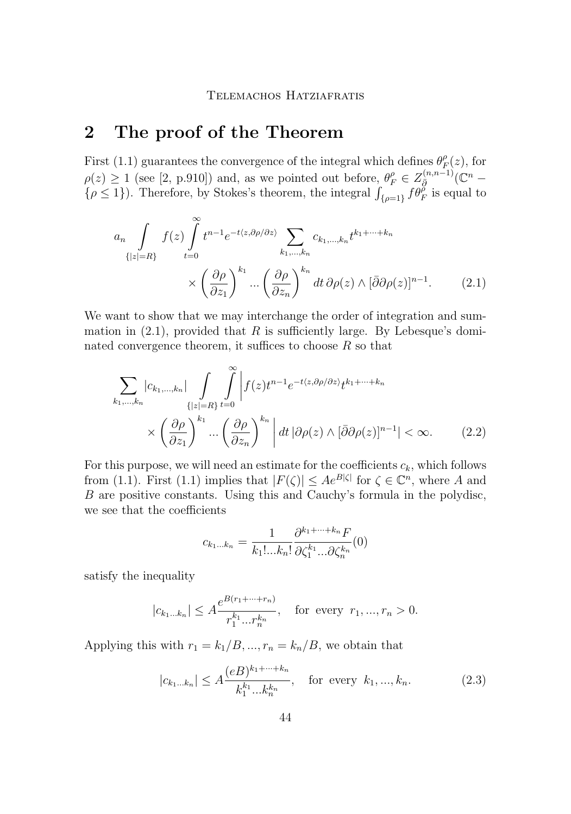#### TELEMACHOS HATZIAFRATIS

### <span id="page-4-0"></span>**2 The proof of the Theorem**

First [\(1.1\)](#page-1-0) guarantees the convergence of the integral which defines  $\theta_F^{\rho}$  $P_F^{\rho}(z)$ , for  $\rho(z) \geq 1$  (see [\[2,](#page-6-0) p.910]) and, as we pointed out before,  $\theta_F^{\rho} \in Z_{\bar{g}}^{(n,n-1)}(\mathbb{C}^n \{\rho \leq 1\}$ ). Therefore, by Stokes's theorem, the integral  $\int_{\{\rho=1\}} f \theta_F^{\rho}$  is equal to

$$
a_n \int_{\{|z|=R\}} f(z) \int_{t=0}^{\infty} t^{n-1} e^{-t\langle z, \partial \rho/\partial z \rangle} \sum_{k_1, \dots, k_n} c_{k_1, \dots, k_n} t^{k_1 + \dots + k_n}
$$

$$
\times \left(\frac{\partial \rho}{\partial z_1}\right)^{k_1} \dots \left(\frac{\partial \rho}{\partial z_n}\right)^{k_n} dt \, \partial \rho(z) \wedge [\bar{\partial} \partial \rho(z)]^{n-1}.\tag{2.1}
$$

We want to show that we may interchange the order of integration and summation in  $(2.1)$ , provided that R is sufficiently large. By Lebesque's dominated convergence theorem, it suffices to choose  $R$  so that

$$
\sum_{k_1,\dots,k_n} |c_{k_1,\dots,k_n}| \int\limits_{\{|z|=R\}} \int\limits_{t=0}^{\infty} \left| f(z)t^{n-1} e^{-t\langle z,\partial \rho/\partial z\rangle} t^{k_1+\dots+k_n} \right|
$$
\n
$$
\times \left(\frac{\partial \rho}{\partial z_1}\right)^{k_1} \dots \left(\frac{\partial \rho}{\partial z_n}\right)^{k_n} \left| dt \left|\partial \rho(z) \wedge [\bar{\partial}\partial \rho(z)]^{n-1} \right| < \infty. \tag{2.2}
$$

For this purpose, we will need an estimate for the coefficients  $c_k$ , which follows from [\(1.1\)](#page-1-0). First (1.1) implies that  $|F(\zeta)| \leq Ae^{B|\zeta|}$  for  $\zeta \in \mathbb{C}^n$ , where A and B are positive constants. Using this and Cauchy's formula in the polydisc, we see that the coefficients

$$
c_{k_1...k_n} = \frac{1}{k_1!...k_n!} \frac{\partial^{k_1+\dots+k_n} F}{\partial \zeta_1^{k_1}...\partial \zeta_n^{k_n}}(0)
$$

satisfy the inequality

$$
|c_{k_1...k_n}| \le A \frac{e^{B(r_1+\dots+r_n)}}{r_1^{k_1}...r_n^{k_n}}, \text{ for every } r_1,...,r_n > 0.
$$

Applying this with  $r_1 = k_1/B, ..., r_n = k_n/B$ , we obtain that

$$
|c_{k_1...k_n}| \le A \frac{(eB)^{k_1+\dots+k_n}}{k_1^{k_1}...k_n^{k_n}}, \quad \text{for every } k_1, ..., k_n.
$$
 (2.3)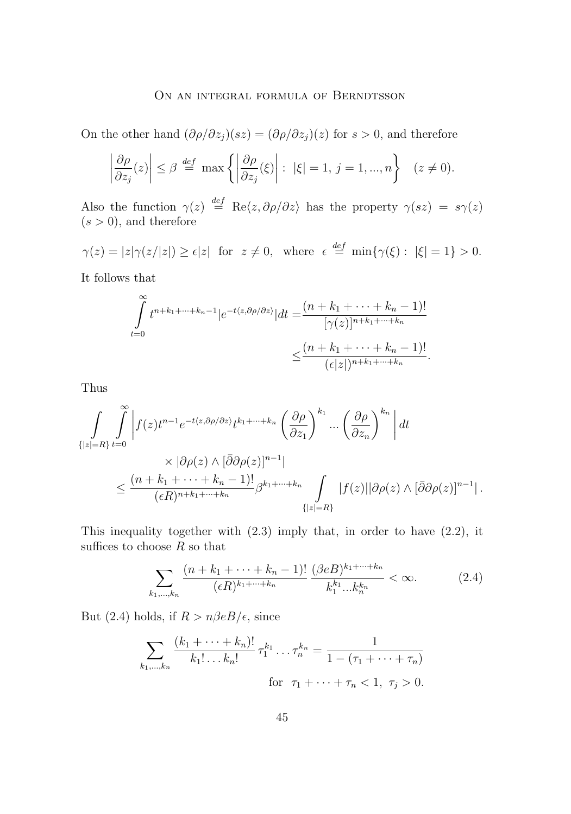#### ON AN INTEGRAL FORMULA OF BERNDTSSON

On the other hand  $(\partial \rho/\partial z_i)(sz) = (\partial \rho/\partial z_i)(z)$  for  $s > 0$ , and therefore

$$
\left|\frac{\partial \rho}{\partial z_j}(z)\right| \le \beta \stackrel{def}{=} \max\left\{ \left|\frac{\partial \rho}{\partial z_j}(\xi)\right| : |\xi| = 1, j = 1, ..., n \right\} \quad (z \ne 0).
$$

Also the function  $\gamma(z) \stackrel{def}{=} \text{Re}\langle z, \partial \rho/\partial z \rangle$  has the property  $\gamma(sz) = s\gamma(z)$  $(s > 0)$ , and therefore

 $\gamma(z) = |z|\gamma(z/|z|) \ge \epsilon |z|$  for  $z \ne 0$ , where  $\epsilon \stackrel{def}{=} \min{\gamma(\xi)} : |\xi| = 1$  > 0.

It follows that

$$
\int_{t=0}^{\infty} t^{n+k_1+\dots+k_n-1} |e^{-t\langle z,\partial \rho/\partial z\rangle}| dt = \frac{(n+k_1+\dots+k_n-1)!}{[\gamma(z)]^{n+k_1+\dots+k_n}}
$$

$$
\leq \frac{(n+k_1+\dots+k_n-1)!}{(\epsilon|z|)^{n+k_1+\dots+k_n}}.
$$

Thus

$$
\int_{\{|z|=R\}} \int_{t=0}^{\infty} \left| f(z)t^{n-1}e^{-t\langle z,\partial\rho/\partial z\rangle}t^{k_1+\cdots+k_n} \left(\frac{\partial\rho}{\partial z_1}\right)^{k_1} \cdots \left(\frac{\partial\rho}{\partial z_n}\right)^{k_n} \right| dt
$$
\n
$$
\times \left| \partial\rho(z) \wedge [\bar{\partial}\partial\rho(z)]^{n-1} \right|
$$
\n
$$
\leq \frac{(n+k_1+\cdots+k_n-1)!}{(\epsilon R)^{n+k_1+\cdots+k_n}} \beta^{k_1+\cdots+k_n} \int_{\{|z|=R\}} |f(z)||\partial\rho(z) \wedge [\bar{\partial}\partial\rho(z)]^{n-1} |.
$$

This inequality together with  $(2.3)$  imply that, in order to have  $(2.2)$ , it suffices to choose  $R$  so that

$$
\sum_{k_1,\dots,k_n} \frac{(n+k_1+\dots+k_n-1)!}{(\epsilon R)^{k_1+\dots+k_n}} \frac{(\beta \epsilon B)^{k_1+\dots+k_n}}{k_1^{k_1}\dots k_n^{k_n}} < \infty. \tag{2.4}
$$

But (2.4) holds, if  $R > n\beta eB/\epsilon$ , since

$$
\sum_{k_1,\dots,k_n} \frac{(k_1+\dots+k_n)!}{k_1! \dots k_n!} \,\tau_1^{k_1} \dots \tau_n^{k_n} = \frac{1}{1 - (\tau_1 + \dots + \tau_n)}
$$
\nfor

\n
$$
\tau_1 + \dots + \tau_n < 1, \, \tau_j > 0.
$$